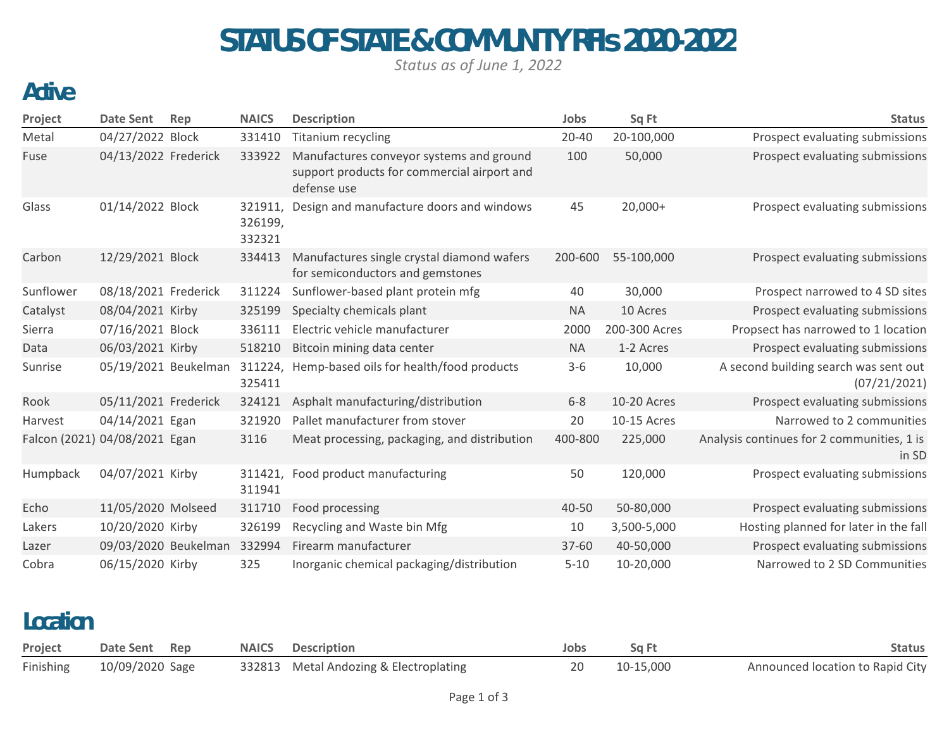# STATUS OF STATE & COMMUNITY RFIs 2020-2022

*Status as of June 1, 2022*

#### Active

| Project                       | <b>Date Sent</b>     | Rep | <b>NAICS</b>                 | <b>Description</b>                                                                                     | Jobs      | Sq Ft         | <b>Status</b>                                         |
|-------------------------------|----------------------|-----|------------------------------|--------------------------------------------------------------------------------------------------------|-----------|---------------|-------------------------------------------------------|
| Metal                         | 04/27/2022 Block     |     | 331410                       | Titanium recycling                                                                                     | $20 - 40$ | 20-100,000    | Prospect evaluating submissions                       |
| Fuse                          | 04/13/2022 Frederick |     | 333922                       | Manufactures conveyor systems and ground<br>support products for commercial airport and<br>defense use | 100       | 50,000        | Prospect evaluating submissions                       |
| Glass                         | 01/14/2022 Block     |     | 321911,<br>326199,<br>332321 | Design and manufacture doors and windows                                                               | 45        | $20,000+$     | Prospect evaluating submissions                       |
| Carbon                        | 12/29/2021 Block     |     | 334413                       | Manufactures single crystal diamond wafers<br>for semiconductors and gemstones                         | 200-600   | 55-100,000    | Prospect evaluating submissions                       |
| Sunflower                     | 08/18/2021 Frederick |     | 311224                       | Sunflower-based plant protein mfg                                                                      | 40        | 30,000        | Prospect narrowed to 4 SD sites                       |
| Catalyst                      | 08/04/2021 Kirby     |     | 325199                       | Specialty chemicals plant                                                                              | <b>NA</b> | 10 Acres      | Prospect evaluating submissions                       |
| Sierra                        | 07/16/2021 Block     |     | 336111                       | Electric vehicle manufacturer                                                                          | 2000      | 200-300 Acres | Propsect has narrowed to 1 location                   |
| Data                          | 06/03/2021 Kirby     |     | 518210                       | Bitcoin mining data center                                                                             | <b>NA</b> | 1-2 Acres     | Prospect evaluating submissions                       |
| Sunrise                       | 05/19/2021 Beukelman |     | 311224,<br>325411            | Hemp-based oils for health/food products                                                               | $3 - 6$   | 10,000        | A second building search was sent out<br>(07/21/2021) |
| Rook                          | 05/11/2021 Frederick |     | 324121                       | Asphalt manufacturing/distribution                                                                     | $6 - 8$   | 10-20 Acres   | Prospect evaluating submissions                       |
| Harvest                       | 04/14/2021 Egan      |     | 321920                       | Pallet manufacturer from stover                                                                        | 20        | 10-15 Acres   | Narrowed to 2 communities                             |
| Falcon (2021) 04/08/2021 Egan |                      |     | 3116                         | Meat processing, packaging, and distribution                                                           | 400-800   | 225,000       | Analysis continues for 2 communities, 1 is<br>in SD   |
| Humpback                      | 04/07/2021 Kirby     |     | 311941                       | 311421, Food product manufacturing                                                                     | 50        | 120,000       | Prospect evaluating submissions                       |
| Echo                          | 11/05/2020 Molseed   |     | 311710                       | Food processing                                                                                        | 40-50     | 50-80,000     | Prospect evaluating submissions                       |
| Lakers                        | 10/20/2020 Kirby     |     | 326199                       | Recycling and Waste bin Mfg                                                                            | 10        | 3,500-5,000   | Hosting planned for later in the fall                 |
| Lazer                         | 09/03/2020 Beukelman |     | 332994                       | Firearm manufacturer                                                                                   | 37-60     | 40-50,000     | Prospect evaluating submissions                       |
| Cobra                         | 06/15/2020 Kirby     |     | 325                          | Inorganic chemical packaging/distribution                                                              | $5 - 10$  | 10-20,000     | Narrowed to 2 SD Communities                          |

#### Location

| Project | Date Sent Rep             | <b>NAICS</b> Description               | Jobs | Sq Ft        | Status                           |
|---------|---------------------------|----------------------------------------|------|--------------|----------------------------------|
|         | Finishing 10/09/2020 Sage | 332813 Metal Andozing & Electroplating |      | 20 10-15,000 | Announced location to Rapid City |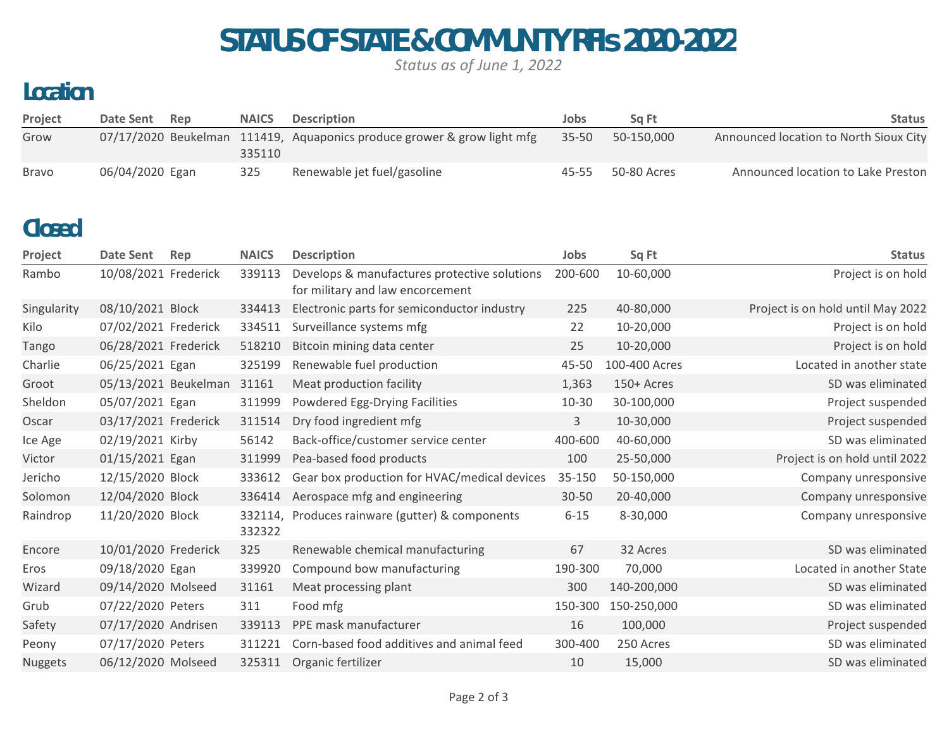# STATUS OF STATE & COMMUNITY RFIs 2020-2022

*Status as of June 1, 2022*

### Location

| Project      | Date Sent       | Rep | <b>NAICS</b> | <b>Description</b>                                                      | Jobs      | Sa Ft       | <b>Status</b>                          |
|--------------|-----------------|-----|--------------|-------------------------------------------------------------------------|-----------|-------------|----------------------------------------|
| Grow         |                 |     | 335110       | 07/17/2020 Beukelman 111419, Aquaponics produce grower & grow light mfg | $35 - 50$ | 50-150.000  | Announced location to North Sioux City |
| <b>Bravo</b> | 06/04/2020 Egan |     | 325          | Renewable jet fuel/gasoline                                             | 45-55     | 50-80 Acres | Announced location to Lake Preston     |

#### Closed

| Project     | Date Sent            | Rep | <b>NAICS</b>      | <b>Description</b>                                                               | Jobs      | Sq Ft         | <b>Status</b>                     |
|-------------|----------------------|-----|-------------------|----------------------------------------------------------------------------------|-----------|---------------|-----------------------------------|
| Rambo       | 10/08/2021 Frederick |     | 339113            | Develops & manufactures protective solutions<br>for military and law encorcement | 200-600   | 10-60,000     | Project is on hold                |
| Singularity | 08/10/2021 Block     |     | 334413            | Electronic parts for semiconductor industry                                      | 225       | 40-80,000     | Project is on hold until May 2022 |
| Kilo        | 07/02/2021 Frederick |     | 334511            | Surveillance systems mfg                                                         | 22        | 10-20,000     | Project is on hold                |
| Tango       | 06/28/2021 Frederick |     | 518210            | Bitcoin mining data center                                                       | 25        | 10-20,000     | Project is on hold                |
| Charlie     | 06/25/2021 Egan      |     | 325199            | Renewable fuel production                                                        | 45-50     | 100-400 Acres | Located in another state          |
| Groot       | 05/13/2021 Beukelman |     | 31161             | Meat production facility                                                         | 1,363     | 150+ Acres    | SD was eliminated                 |
| Sheldon     | 05/07/2021 Egan      |     | 311999            | Powdered Egg-Drying Facilities                                                   | $10 - 30$ | 30-100,000    | Project suspended                 |
| Oscar       | 03/17/2021 Frederick |     | 311514            | Dry food ingredient mfg                                                          | 3         | 10-30,000     | Project suspended                 |
| Ice Age     | 02/19/2021 Kirby     |     | 56142             | Back-office/customer service center                                              | 400-600   | 40-60,000     | SD was eliminated                 |
| Victor      | 01/15/2021 Egan      |     | 311999            | Pea-based food products                                                          | 100       | 25-50,000     | Project is on hold until 2022     |
| Jericho     | 12/15/2020 Block     |     | 333612            | Gear box production for HVAC/medical devices                                     | 35-150    | 50-150,000    | Company unresponsive              |
| Solomon     | 12/04/2020 Block     |     | 336414            | Aerospace mfg and engineering                                                    | $30 - 50$ | 20-40,000     | Company unresponsive              |
| Raindrop    | 11/20/2020 Block     |     | 332114,<br>332322 | Produces rainware (gutter) & components                                          | $6 - 15$  | 8-30,000      | Company unresponsive              |
| Encore      | 10/01/2020 Frederick |     | 325               | Renewable chemical manufacturing                                                 | 67        | 32 Acres      | SD was eliminated                 |
| Eros        | 09/18/2020 Egan      |     | 339920            | Compound bow manufacturing                                                       | 190-300   | 70,000        | Located in another State          |
| Wizard      | 09/14/2020 Molseed   |     | 31161             | Meat processing plant                                                            | 300       | 140-200,000   | SD was eliminated                 |
| Grub        | 07/22/2020 Peters    |     | 311               | Food mfg                                                                         | 150-300   | 150-250,000   | SD was eliminated                 |
| Safety      | 07/17/2020 Andrisen  |     | 339113            | PPE mask manufacturer                                                            | 16        | 100,000       | Project suspended                 |
| Peony       | 07/17/2020 Peters    |     | 311221            | Corn-based food additives and animal feed                                        | 300-400   | 250 Acres     | SD was eliminated                 |
| Nuggets     | 06/12/2020 Molseed   |     | 325311            | Organic fertilizer                                                               | 10        | 15,000        | SD was eliminated                 |